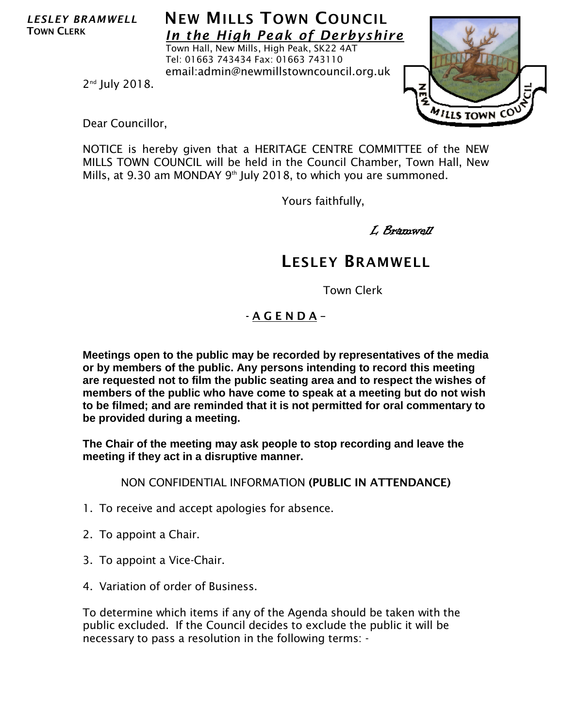*LESLEY BRAMWELL* TOWN CLERK

## **NEW MILLS TOWN COUNCIL** *In the High Peak of Derbyshire*

Town Hall, New Mills, High Peak, SK22 4AT Tel: 01663 743434 Fax: 01663 743110 email:admin@newmillstowncouncil.org.uk



2nd July 2018.

Dear Councillor,

NOTICE is hereby given that a HERITAGE CENTRE COMMITTEE of the NEW MILLS TOWN COUNCIL will be held in the Council Chamber, Town Hall, New Mills, at 9.30 am MONDAY 9<sup>th</sup> July 2018, to which you are summoned.

Yours faithfully,

L Bramwell

## LESLEY BRAMWELL

Town Clerk

## - A G E N D A –

**Meetings open to the public may be recorded by representatives of the media or by members of the public. Any persons intending to record this meeting are requested not to film the public seating area and to respect the wishes of members of the public who have come to speak at a meeting but do not wish to be filmed; and are reminded that it is not permitted for oral commentary to be provided during a meeting.**

**The Chair of the meeting may ask people to stop recording and leave the meeting if they act in a disruptive manner.**

NON CONFIDENTIAL INFORMATION (PUBLIC IN ATTENDANCE)

- 1. To receive and accept apologies for absence.
- 2. To appoint a Chair.
- 3. To appoint a Vice-Chair.
- 4. Variation of order of Business.

To determine which items if any of the Agenda should be taken with the public excluded. If the Council decides to exclude the public it will be necessary to pass a resolution in the following terms: -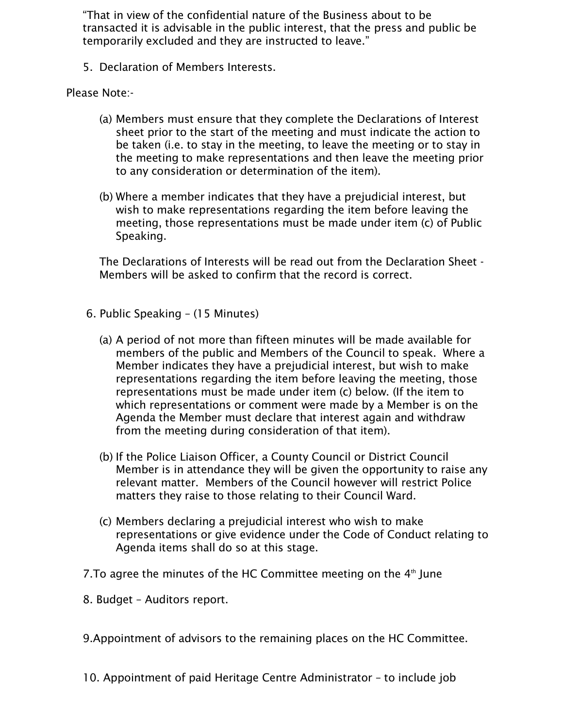"That in view of the confidential nature of the Business about to be transacted it is advisable in the public interest, that the press and public be temporarily excluded and they are instructed to leave."

5. Declaration of Members Interests.

Please Note:-

- (a) Members must ensure that they complete the Declarations of Interest sheet prior to the start of the meeting and must indicate the action to be taken (i.e. to stay in the meeting, to leave the meeting or to stay in the meeting to make representations and then leave the meeting prior to any consideration or determination of the item).
- (b) Where a member indicates that they have a prejudicial interest, but wish to make representations regarding the item before leaving the meeting, those representations must be made under item (c) of Public Speaking.

The Declarations of Interests will be read out from the Declaration Sheet - Members will be asked to confirm that the record is correct.

- 6. Public Speaking (15 Minutes)
	- (a) A period of not more than fifteen minutes will be made available for members of the public and Members of the Council to speak. Where a Member indicates they have a prejudicial interest, but wish to make representations regarding the item before leaving the meeting, those representations must be made under item (c) below. (If the item to which representations or comment were made by a Member is on the Agenda the Member must declare that interest again and withdraw from the meeting during consideration of that item).
	- (b) If the Police Liaison Officer, a County Council or District Council Member is in attendance they will be given the opportunity to raise any relevant matter. Members of the Council however will restrict Police matters they raise to those relating to their Council Ward.
	- (c) Members declaring a prejudicial interest who wish to make representations or give evidence under the Code of Conduct relating to Agenda items shall do so at this stage.
- 7. To agree the minutes of the HC Committee meeting on the  $4<sup>th</sup>$  June
- 8. Budget Auditors report.
- 9.Appointment of advisors to the remaining places on the HC Committee.
- 10. Appointment of paid Heritage Centre Administrator to include job